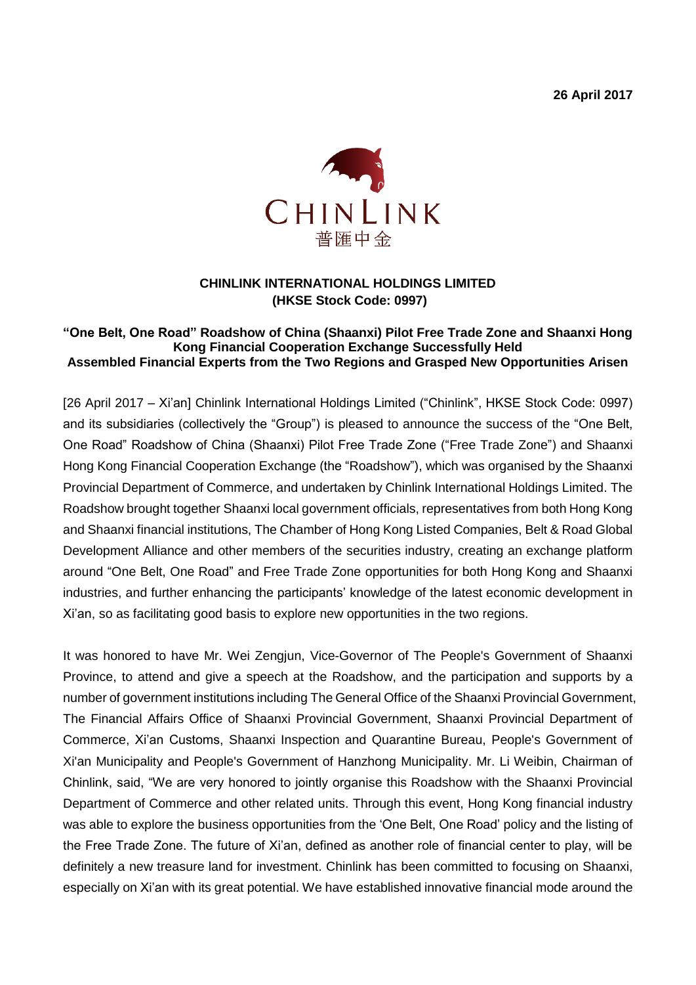**26 April 2017**



## **CHINLINK INTERNATIONAL HOLDINGS LIMITED (HKSE Stock Code: 0997)**

## **"One Belt, One Road" Roadshow of China (Shaanxi) Pilot Free Trade Zone and Shaanxi Hong Kong Financial Cooperation Exchange Successfully Held Assembled Financial Experts from the Two Regions and Grasped New Opportunities Arisen**

[26 April 2017 – Xi'an] Chinlink International Holdings Limited ("Chinlink", HKSE Stock Code: 0997) and its subsidiaries (collectively the "Group") is pleased to announce the success of the "One Belt, One Road" Roadshow of China (Shaanxi) Pilot Free Trade Zone ("Free Trade Zone") and Shaanxi Hong Kong Financial Cooperation Exchange (the "Roadshow"), which was organised by the Shaanxi Provincial Department of Commerce, and undertaken by Chinlink International Holdings Limited. The Roadshow brought together Shaanxi local government officials, representatives from both Hong Kong and Shaanxi financial institutions, The Chamber of Hong Kong Listed Companies, Belt & Road Global Development Alliance and other members of the securities industry, creating an exchange platform around "One Belt, One Road" and Free Trade Zone opportunities for both Hong Kong and Shaanxi industries, and further enhancing the participants' knowledge of the latest economic development in Xi'an, so as facilitating good basis to explore new opportunities in the two regions.

It was honored to have Mr. Wei Zengjun, Vice-Governor of The People's Government of Shaanxi Province, to attend and give a speech at the Roadshow, and the participation and supports by a number of government institutions including The General Office of the Shaanxi Provincial Government, The Financial Affairs Office of Shaanxi Provincial Government, Shaanxi Provincial Department of Commerce, Xi'an Customs, Shaanxi Inspection and Quarantine Bureau, People's Government of Xi'an Municipality and People's Government of Hanzhong Municipality. Mr. Li Weibin, Chairman of Chinlink, said, "We are very honored to jointly organise this Roadshow with the Shaanxi Provincial Department of Commerce and other related units. Through this event, Hong Kong financial industry was able to explore the business opportunities from the 'One Belt, One Road' policy and the listing of the Free Trade Zone. The future of Xi'an, defined as another role of financial center to play, will be definitely a new treasure land for investment. Chinlink has been committed to focusing on Shaanxi, especially on Xi'an with its great potential. We have established innovative financial mode around the